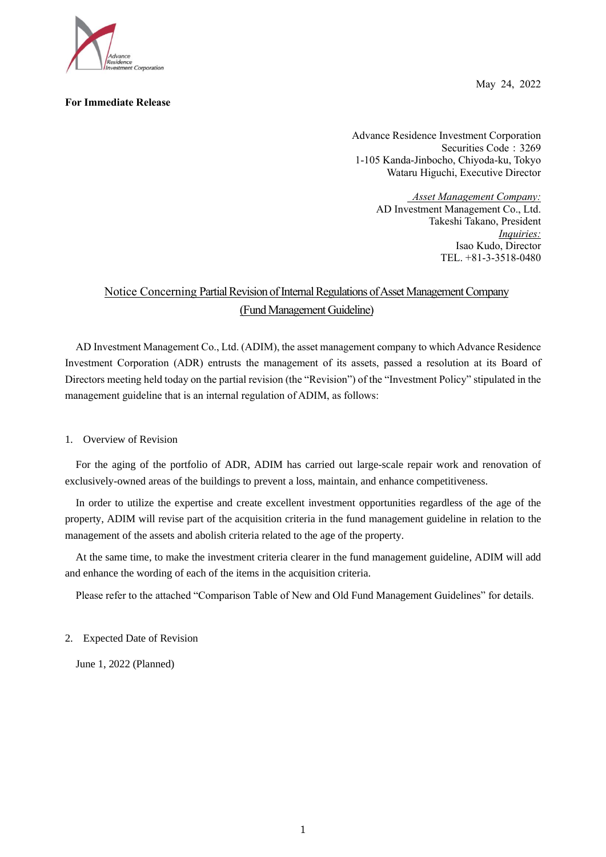

## **For Immediate Release**

May 24, 2022

Advance Residence Investment Corporation Securities Code: 3269 1-105 Kanda-Jinbocho, Chiyoda-ku, Tokyo Wataru Higuchi, Executive Director

> *Asset Management Company:* AD Investment Management Co., Ltd. Takeshi Takano, President *Inquiries:* Isao Kudo, Director TEL. +81-3-3518-0480

## Notice Concerning Partial Revision of Internal Regulations of Asset Management Company (Fund Management Guideline)

AD Investment Management Co., Ltd. (ADIM), the asset management company to which Advance Residence Investment Corporation (ADR) entrusts the management of its assets, passed a resolution at its Board of Directors meeting held today on the partial revision (the "Revision") of the "Investment Policy" stipulated in the management guideline that is an internal regulation of ADIM, as follows:

## 1. Overview of Revision

For the aging of the portfolio of ADR, ADIM has carried out large-scale repair work and renovation of exclusively-owned areas of the buildings to prevent a loss, maintain, and enhance competitiveness.

In order to utilize the expertise and create excellent investment opportunities regardless of the age of the property, ADIM will revise part of the acquisition criteria in the fund management guideline in relation to the management of the assets and abolish criteria related to the age of the property.

At the same time, to make the investment criteria clearer in the fund management guideline, ADIM will add and enhance the wording of each of the items in the acquisition criteria.

Please refer to the attached "Comparison Table of New and Old Fund Management Guidelines" for details.

2. Expected Date of Revision

June 1, 2022 (Planned)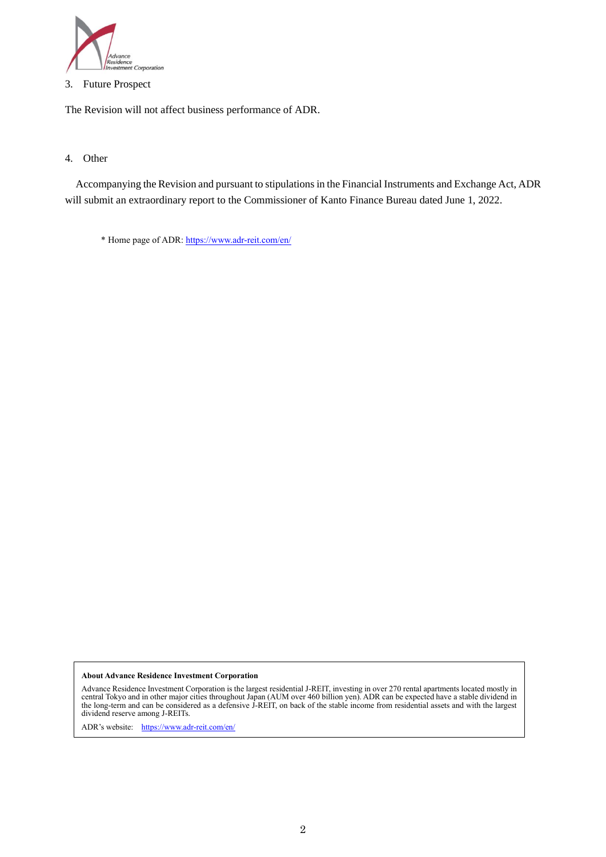

3. Future Prospect

The Revision will not affect business performance of ADR.

## 4. Other

Accompanying the Revision and pursuant to stipulations in the Financial Instruments and Exchange Act, ADR will submit an extraordinary report to the Commissioner of Kanto Finance Bureau dated June 1, 2022.

\* Home page of ADR[: https://www.adr-reit.com/en/](https://www.adr-reit.com/en/)

**About Advance Residence Investment Corporation**

Advance Residence Investment Corporation is the largest residential J-REIT, investing in over 270 rental apartments located mostly in<br>central Tokyo and in other major cities throughout Japan (AUM over 460 billion yen). ADR the long-term and can be considered as a defensive J-REIT, on back of the stable income from residential assets and with the largest dividend reserve among J-REITs.

ADR's website: <https://www.adr-reit.com/en/>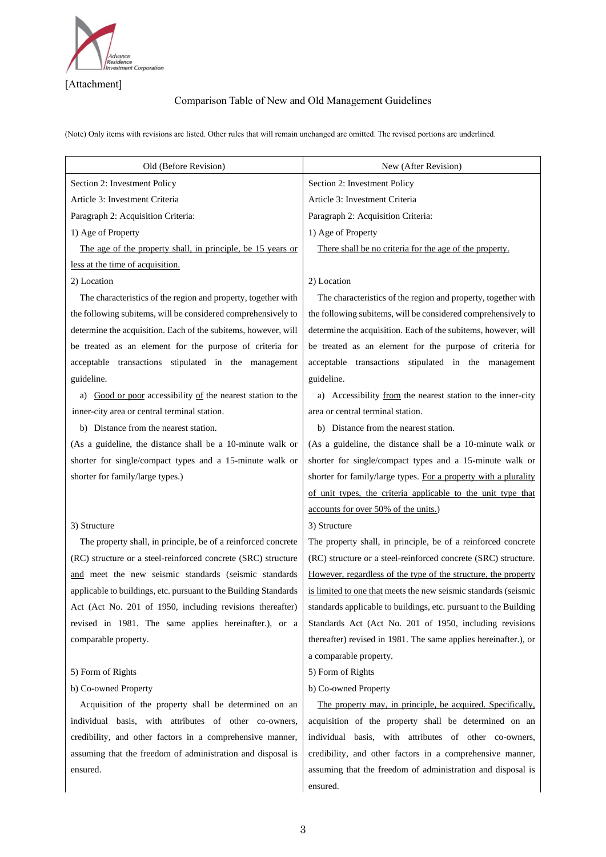

[Attachment]

## Comparison Table of New and Old Management Guidelines

(Note) Only items with revisions are listed. Other rules that will remain unchanged are omitted. The revised portions are underlined.

| Section 2: Investment Policy<br>Section 2: Investment Policy                                                           | Old (Before Revision)          | New (After Revision)                                             |
|------------------------------------------------------------------------------------------------------------------------|--------------------------------|------------------------------------------------------------------|
|                                                                                                                        |                                |                                                                  |
|                                                                                                                        | Article 3: Investment Criteria | Article 3: Investment Criteria                                   |
| Paragraph 2: Acquisition Criteria:<br>Paragraph 2: Acquisition Criteria:                                               |                                |                                                                  |
| 1) Age of Property<br>1) Age of Property                                                                               |                                |                                                                  |
| The age of the property shall, in principle, be 15 years or<br>There shall be no criteria for the age of the property. |                                |                                                                  |
| less at the time of acquisition.                                                                                       |                                |                                                                  |
| 2) Location<br>2) Location                                                                                             |                                |                                                                  |
| The characteristics of the region and property, together with                                                          |                                | The characteristics of the region and property, together with    |
| the following subitems, will be considered comprehensively to                                                          |                                | the following subitems, will be considered comprehensively to    |
| determine the acquisition. Each of the subitems, however, will                                                         |                                | determine the acquisition. Each of the subitems, however, will   |
| be treated as an element for the purpose of criteria for                                                               |                                | be treated as an element for the purpose of criteria for         |
| acceptable transactions stipulated in the management                                                                   |                                | acceptable transactions stipulated in the management             |
| guideline.<br>guideline.                                                                                               |                                |                                                                  |
| a) Good or poor accessibility of the nearest station to the                                                            |                                | a) Accessibility from the nearest station to the inner-city      |
| area or central terminal station.<br>inner-city area or central terminal station.                                      |                                |                                                                  |
| b) Distance from the nearest station.<br>b) Distance from the nearest station.                                         |                                |                                                                  |
| (As a guideline, the distance shall be a 10-minute walk or                                                             |                                | (As a guideline, the distance shall be a 10-minute walk or       |
| shorter for single/compact types and a 15-minute walk or                                                               |                                | shorter for single/compact types and a 15-minute walk or         |
| shorter for family/large types.)                                                                                       |                                | shorter for family/large types. For a property with a plurality  |
|                                                                                                                        |                                | of unit types, the criteria applicable to the unit type that     |
| accounts for over 50% of the units.)                                                                                   |                                |                                                                  |
| 3) Structure<br>3) Structure                                                                                           |                                |                                                                  |
| The property shall, in principle, be of a reinforced concrete                                                          |                                | The property shall, in principle, be of a reinforced concrete    |
| (RC) structure or a steel-reinforced concrete (SRC) structure                                                          |                                | (RC) structure or a steel-reinforced concrete (SRC) structure.   |
| and meet the new seismic standards (seismic standards                                                                  |                                | However, regardless of the type of the structure, the property   |
| applicable to buildings, etc. pursuant to the Building Standards                                                       |                                | is limited to one that meets the new seismic standards (seismic  |
| Act (Act No. 201 of 1950, including revisions thereafter)                                                              |                                | standards applicable to buildings, etc. pursuant to the Building |
| revised in 1981. The same applies hereinafter.), or a                                                                  |                                | Standards Act (Act No. 201 of 1950, including revisions          |
| comparable property.                                                                                                   |                                | thereafter) revised in 1981. The same applies hereinafter.), or  |
| a comparable property.                                                                                                 |                                |                                                                  |
| 5) Form of Rights<br>5) Form of Rights                                                                                 |                                |                                                                  |
| b) Co-owned Property<br>b) Co-owned Property                                                                           |                                |                                                                  |
| Acquisition of the property shall be determined on an                                                                  |                                | The property may, in principle, be acquired. Specifically,       |
| individual basis, with attributes of other co-owners,                                                                  |                                | acquisition of the property shall be determined on an            |
| credibility, and other factors in a comprehensive manner,                                                              |                                | individual basis, with attributes of other co-owners,            |
| assuming that the freedom of administration and disposal is                                                            |                                | credibility, and other factors in a comprehensive manner,        |
| ensured.                                                                                                               |                                | assuming that the freedom of administration and disposal is      |
| ensured.                                                                                                               |                                |                                                                  |